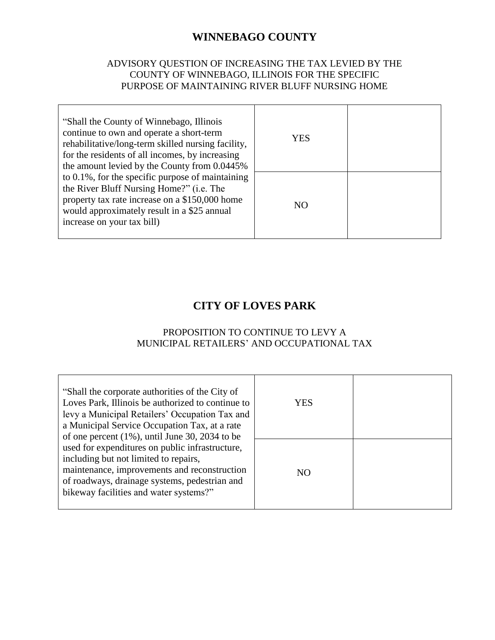# **WINNEBAGO COUNTY**

#### ADVISORY QUESTION OF INCREASING THE TAX LEVIED BY THE COUNTY OF WINNEBAGO, ILLINOIS FOR THE SPECIFIC PURPOSE OF MAINTAINING RIVER BLUFF NURSING HOME

| "Shall the County of Winnebago, Illinois"<br>continue to own and operate a short-term<br>rehabilitative/long-term skilled nursing facility,<br>for the residents of all incomes, by increasing<br>the amount levied by the County from 0.0445% | YES |  |
|------------------------------------------------------------------------------------------------------------------------------------------------------------------------------------------------------------------------------------------------|-----|--|
| to $0.1\%$ , for the specific purpose of maintaining<br>the River Bluff Nursing Home?" (i.e. The<br>property tax rate increase on a \$150,000 home<br>would approximately result in a \$25 annual<br>increase on your tax bill)                | NO. |  |

### **CITY OF LOVES PARK**

#### PROPOSITION TO CONTINUE TO LEVY A MUNICIPAL RETAILERS' AND OCCUPATIONAL TAX

| "Shall the corporate authorities of the City of<br>Loves Park, Illinois be authorized to continue to<br>levy a Municipal Retailers' Occupation Tax and<br>a Municipal Service Occupation Tax, at a rate<br>of one percent $(1\%)$ , until June 30, 2034 to be | YES |  |
|---------------------------------------------------------------------------------------------------------------------------------------------------------------------------------------------------------------------------------------------------------------|-----|--|
| used for expenditures on public infrastructure,<br>including but not limited to repairs,<br>maintenance, improvements and reconstruction<br>of roadways, drainage systems, pedestrian and<br>bikeway facilities and water systems?"                           | NO  |  |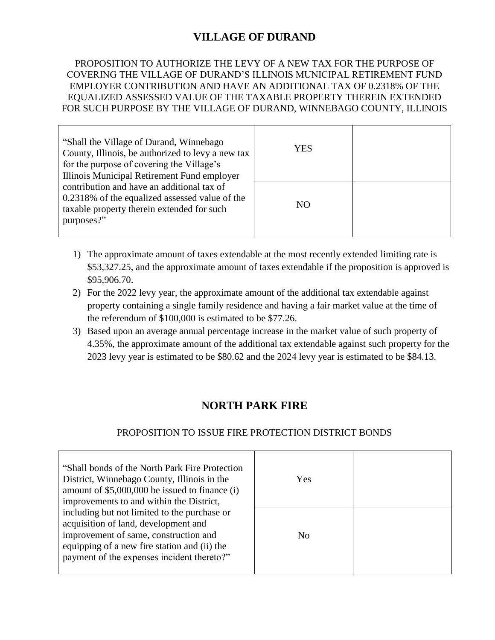# **VILLAGE OF DURAND**

#### PROPOSITION TO AUTHORIZE THE LEVY OF A NEW TAX FOR THE PURPOSE OF COVERING THE VILLAGE OF DURAND'S ILLINOIS MUNICIPAL RETIREMENT FUND EMPLOYER CONTRIBUTION AND HAVE AN ADDITIONAL TAX OF 0.2318% OF THE EQUALIZED ASSESSED VALUE OF THE TAXABLE PROPERTY THEREIN EXTENDED FOR SUCH PURPOSE BY THE VILLAGE OF DURAND, WINNEBAGO COUNTY, ILLINOIS

| "Shall the Village of Durand, Winnebago<br>County, Illinois, be authorized to levy a new tax<br>for the purpose of covering the Village's<br>Illinois Municipal Retirement Fund employer | YES            |  |
|------------------------------------------------------------------------------------------------------------------------------------------------------------------------------------------|----------------|--|
| contribution and have an additional tax of<br>0.2318% of the equalized assessed value of the<br>taxable property therein extended for such<br>purposes?"                                 | N <sub>O</sub> |  |

- 1) The approximate amount of taxes extendable at the most recently extended limiting rate is \$53,327.25, and the approximate amount of taxes extendable if the proposition is approved is \$95,906.70.
- 2) For the 2022 levy year, the approximate amount of the additional tax extendable against property containing a single family residence and having a fair market value at the time of the referendum of \$100,000 is estimated to be \$77.26.
- 3) Based upon an average annual percentage increase in the market value of such property of 4.35%, the approximate amount of the additional tax extendable against such property for the 2023 levy year is estimated to be \$80.62 and the 2024 levy year is estimated to be \$84.13.

# **NORTH PARK FIRE**

#### PROPOSITION TO ISSUE FIRE PROTECTION DISTRICT BONDS

| "Shall bonds of the North Park Fire Protection" |                |  |
|-------------------------------------------------|----------------|--|
| District, Winnebago County, Illinois in the     | Yes            |  |
| amount of \$5,000,000 be issued to finance (i)  |                |  |
| improvements to and within the District,        |                |  |
| including but not limited to the purchase or    |                |  |
| acquisition of land, development and            |                |  |
| improvement of same, construction and           | N <sub>0</sub> |  |
| equipping of a new fire station and (ii) the    |                |  |
| payment of the expenses incident thereto?"      |                |  |
|                                                 |                |  |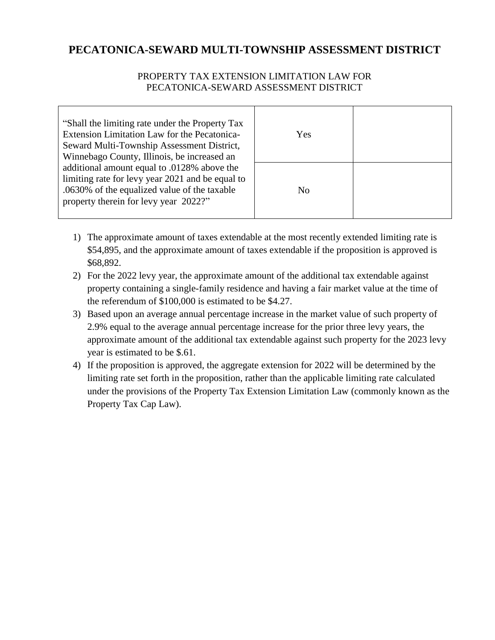# **PECATONICA-SEWARD MULTI-TOWNSHIP ASSESSMENT DISTRICT**

#### PROPERTY TAX EXTENSION LIMITATION LAW FOR PECATONICA-SEWARD ASSESSMENT DISTRICT

| "Shall the limiting rate under the Property Tax"<br>Extension Limitation Law for the Pecatonica-<br>Seward Multi-Township Assessment District,<br>Winnebago County, Illinois, be increased an | Yes            |  |
|-----------------------------------------------------------------------------------------------------------------------------------------------------------------------------------------------|----------------|--|
| additional amount equal to .0128% above the<br>limiting rate for levy year 2021 and be equal to<br>.0630% of the equalized value of the taxable<br>property therein for levy year 2022?"      | N <sub>0</sub> |  |

- 1) The approximate amount of taxes extendable at the most recently extended limiting rate is \$54,895, and the approximate amount of taxes extendable if the proposition is approved is \$68,892.
- 2) For the 2022 levy year, the approximate amount of the additional tax extendable against property containing a single-family residence and having a fair market value at the time of the referendum of \$100,000 is estimated to be \$4.27.
- 3) Based upon an average annual percentage increase in the market value of such property of 2.9% equal to the average annual percentage increase for the prior three levy years, the approximate amount of the additional tax extendable against such property for the 2023 levy year is estimated to be \$.61.
- 4) If the proposition is approved, the aggregate extension for 2022 will be determined by the limiting rate set forth in the proposition, rather than the applicable limiting rate calculated under the provisions of the Property Tax Extension Limitation Law (commonly known as the Property Tax Cap Law).